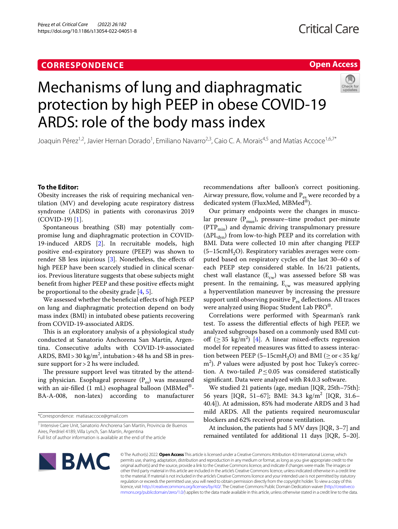# **CORRESPONDENCE**

## **Open Access**



# Mechanisms of lung and diaphragmatic protection by high PEEP in obese COVID-19 ARDS: role of the body mass index

Joaquin Pérez<sup>1,2</sup>, Javier Hernan Dorado<sup>1</sup>, Emiliano Navarro<sup>2,3</sup>, Caio C. A. Morais<sup>4,5</sup> and Matías Accoce<sup>1,6,7\*</sup>

## **To the Editor:**

Obesity increases the risk of requiring mechanical ventilation (MV) and developing acute respiratory distress syndrome (ARDS) in patients with coronavirus 2019 (COVID-19) [[1\]](#page-3-0).

Spontaneous breathing (SB) may potentially compromise lung and diaphragmatic protection in COVID-19-induced ARDS [[2\]](#page-3-1). In recruitable models, high positive end-expiratory pressure (PEEP) was shown to render SB less injurious [[3](#page-3-2)]. Nonetheless, the efects of high PEEP have been scarcely studied in clinical scenarios. Previous literature suggests that obese subjects might beneft from higher PEEP and these positive efects might be proportional to the obesity grade [[4,](#page-3-3) [5](#page-3-4)].

We assessed whether the benefcial efects of high PEEP on lung and diaphragmatic protection depend on body mass index (BMI) in intubated obese patients recovering from COVID-19-associated ARDS.

This is an exploratory analysis of a physiological study conducted at Sanatorio Anchorena San Martín, Argentina. Consecutive adults with COVID-19-associated ARDS, BMI > 30 kg/m<sup>2</sup>, intubation > 48 hs and SB in pressure support for > 2 hs were included.

The pressure support level was titrated by the attending physician. Esophageal pressure  $(P_{\infty})$  was measured with an air-filled (1 mL) esophageal balloon (MBMed<sup>®</sup>-BA-A-008, non-latex) according to manufacturer recommendations after balloon's correct positioning. Airway pressure, flow, volume and  $P_{\text{ee}}$  were recorded by a dedicated system (FluxMed, MBMed®).

Our primary endpoints were the changes in muscular pressure  $(P_{\text{mus}})$ , pressure–time product per-minute  $(PTP_{min})$  and dynamic driving transpulmonary pressure  $(\Delta PL_{dyn})$  from low-to-high PEEP and its correlation with BMI. Data were collected 10 min after changing PEEP  $(5-15cmH<sub>2</sub>O)$ . Respiratory variables averages were computed based on respiratory cycles of the last 30–60 s of each PEEP step considered stable. In 16/21 patients, chest wall elastance  $(E_{cw})$  was assessed before SB was present. In the remaining,  $E_{cw}$  was measured applying a hyperventilation maneuver by increasing the pressure support until observing positive  $P_{es}$  deflections. All traces were analyzed using Biopac Student Lab PRO®.

Correlations were performed with Spearman's rank test. To assess the diferential efects of high PEEP, we analyzed subgroups based on a commonly used BMI cutoff ( $\geq$  35 kg/m<sup>2</sup>) [\[4](#page-3-3)]. A linear mixed-effects regression model for repeated measures was ftted to assess interaction between PEEP (5–15cmH<sub>2</sub>O) and BMI ( $\geq$  or < 35 kg/ m<sup>2</sup>). *P* values were adjusted by post hoc Tukey's correction. A two-tailed  $P \leq 0.05$  was considered statistically signifcant. Data were analyzed with R4.0.3 software.

We studied 21 patients (age, median [IQR, 25th–75th]: 56 years [IQR, 51–67]; BMI: 34.3 kg/m2 [IQR, 31.6– 40.4]). At admission, 85% had moderate ARDS and 3 had mild ARDS. All the patients required neuromuscular blockers and 62% received prone ventilation.

At inclusion, the patients had 5 MV days [IQR, 3–7] and remained ventilated for additional 11 days [IQR, 5–20].



© The Author(s) 2022. **Open Access** This article is licensed under a Creative Commons Attribution 4.0 International License, which permits use, sharing, adaptation, distribution and reproduction in any medium or format, as long as you give appropriate credit to the original author(s) and the source, provide a link to the Creative Commons licence, and indicate if changes were made. The images or other third party material in this article are included in the article's Creative Commons licence, unless indicated otherwise in a credit line to the material. If material is not included in the article's Creative Commons licence and your intended use is not permitted by statutory regulation or exceeds the permitted use, you will need to obtain permission directly from the copyright holder. To view a copy of this licence, visit [http://creativecommons.org/licenses/by/4.0/.](http://creativecommons.org/licenses/by/4.0/) The Creative Commons Public Domain Dedication waiver ([http://creativeco](http://creativecommons.org/publicdomain/zero/1.0/) [mmons.org/publicdomain/zero/1.0/](http://creativecommons.org/publicdomain/zero/1.0/)) applies to the data made available in this article, unless otherwise stated in a credit line to the data.

<sup>\*</sup>Correspondence: matiasaccoce@gmail.com

<sup>&</sup>lt;sup>1</sup> Intensive Care Unit, Sanatorio Anchorena San Martín, Provincia de Buenos Aires, Perdriel 4189, Villa Lynch, San Martín, Argentina

Full list of author information is available at the end of the article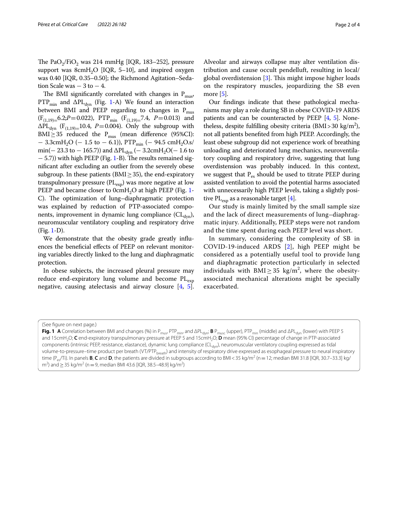The PaO<sub>2</sub>/FiO<sub>2</sub> was 214 mmHg [IQR, 183–252], pressure support was 8cmH<sub>2</sub>O [IQR, 5–10], and inspired oxygen was 0.40 [IQR, 0.35–0.50]; the Richmond Agitation–Sedation Scale was  $-3$  to  $-4$ .

The BMI significantly correlated with changes in  $P_{mus}$ , PTP<sub>min</sub> and  $\Delta$ PL<sub>dyn</sub> (Fig. [1-](#page-1-0)A) We found an interaction between BMI and PEEP regarding to changes in  $P_{\text{mus}}$  $(F_{(1,19)=6.2;P=0.022)$ , PTP<sub>min</sub>  $(F_{(1,19)=7.4, P=0.013)$  and  $\Delta PL_{dyn}$  (F<sub>(1,19)=</sub>10.4, P=0.004). Only the subgroup with BMI $\geq$ 35 reduced the P<sub>mus</sub> (mean difference (95%CI):  $-$  3.3cmH<sub>2</sub>O ( $-$  1.5 to  $-$  6.1)), PTP<sub>min</sub> ( $-$  94.5 cmH<sub>2</sub>O.s/ min(− 23.3 to − 165.7)) and  $\Delta PL_{dyn}$  (− 3.2cmH<sub>2</sub>O(− 1.6 to − 5.7)) with high PEEP (Fig. [1](#page-1-0)-B). The results remained signifcant after excluding an outlier from the severely obese subgroup. In these patients ( $BMI \geq 35$ ), the end-expiratory transpulmonary pressure (PL<sub>exp</sub>) was more negative at low PEEP and became closer to  $0$ cm $H<sub>2</sub>O$  at high PEEP (Fig. [1-](#page-1-0) C). The optimization of lung–diaphragmatic protection was explained by reduction of PTP-associated components, improvement in dynamic lung compliance  $(Cl_{dyn})$ , neuromuscular ventilatory coupling and respiratory drive (Fig. [1-](#page-1-0)D).

We demonstrate that the obesity grade greatly infuences the benefcial efects of PEEP on relevant monitoring variables directly linked to the lung and diaphragmatic protection.

In obese subjects, the increased pleural pressure may reduce end-expiratory lung volume and become  $PL_{\text{exn}}$ negative, causing atelectasis and airway closure [\[4](#page-3-3), [5](#page-3-4)].

Alveolar and airways collapse may alter ventilation distribution and cause occult pendelluft, resulting in local/ global overdistension  $[3]$  $[3]$ . This might impose higher loads on the respiratory muscles, jeopardizing the SB even more [[5](#page-3-4)].

Our fndings indicate that these pathological mechanisms may play a role during SB in obese COVID-19 ARDS patients and can be counteracted by PEEP [\[4](#page-3-3), [5\]](#page-3-4). Nonetheless, despite fulfilling obesity criteria  $(BMI > 30 \text{ kg/m}^2)$ , not all patients benefted from high PEEP. Accordingly, the least obese subgroup did not experience work of breathing unloading and deteriorated lung mechanics, neuroventilatory coupling and respiratory drive, suggesting that lung overdistension was probably induced. In this context, we suggest that  $P_{es}$  should be used to titrate PEEP during assisted ventilation to avoid the potential harms associated with unnecessarily high PEEP levels, taking a slightly positive PL $_{\rm exp}$  as a reasonable target [[4](#page-3-3)].

Our study is mainly limited by the small sample size and the lack of direct measurements of lung–diaphragmatic injury. Additionally, PEEP steps were not random and the time spent during each PEEP level was short.

In summary, considering the complexity of SB in COVID-19-induced ARDS [\[2](#page-3-1)], high PEEP might be considered as a potentially useful tool to provide lung and diaphragmatic protection particularly in selected individuals with  $\text{BMI} \geq 35 \text{ kg/m}^2$ , where the obesityassociated mechanical alterations might be specially exacerbated.

<sup>(</sup>See figure on next page.)

<span id="page-1-0"></span>**Fig. 1** A Correlation between BMI and changes (%) in P<sub>mus</sub>, PTP<sub>min</sub>, and ΔPL<sub>dyn</sub>; **B** P<sub>musc</sub> (upper), PTP<sub>min</sub> (middle) and ΔPL<sub>dyn</sub> (lower) with PEEP 5 and 15cmH<sub>2</sub>O; C end-expiratory transpulmonary pressure at PEEP 5 and 15cmH<sub>2</sub>O; D mean (95% CI) percentage of change in PTP-associated components (intrinsic PEEP, resistance, elastance), dynamic lung compliance (CL<sub>dyn</sub>), neuromuscular ventilatory coupling expressed as tidal volume-to-pressure–time product per breath (VT/PTP<sub>breath</sub>) and intensity of respiratory drive expressed as esophageal pressure to neural inspiratory time (P<sub>es</sub>/Ti). In panels **B, C** and **D**, the patients are divided in subgroups according to BMI < 35 kg/m<sup>2</sup> (n = 12; median BMI 31.8 [IQR, 30.7–33.3] kg/ m<sup>2</sup>) and  $\geq$  35 kg/m<sup>2</sup> (n = 9, median BMI 43.6 [IQR, 38.5–48.9] kg/m<sup>2</sup>)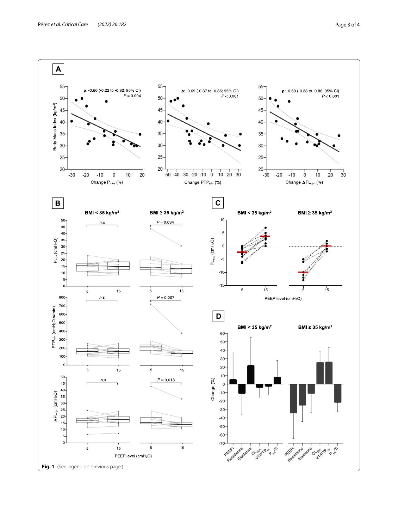